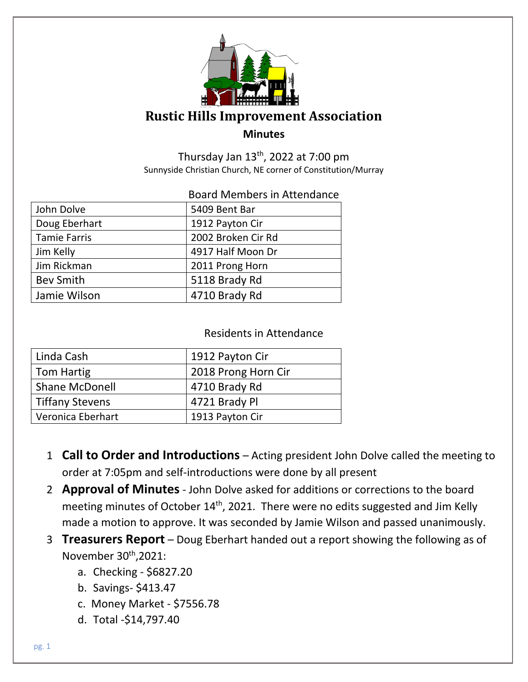

## **Rustic Hills Improvement Association Minutes**

Thursday Jan  $13<sup>th</sup>$ , 2022 at 7:00 pm Sunnyside Christian Church, NE corner of Constitution/Murray

#### Board Members in Attendance

| John Dolve          | 5409 Bent Bar      |
|---------------------|--------------------|
| Doug Eberhart       | 1912 Payton Cir    |
| <b>Tamie Farris</b> | 2002 Broken Cir Rd |
| Jim Kelly           | 4917 Half Moon Dr  |
| Jim Rickman         | 2011 Prong Horn    |
| <b>Bev Smith</b>    | 5118 Brady Rd      |
| Jamie Wilson        | 4710 Brady Rd      |
|                     |                    |

#### Residents in Attendance

| Linda Cash             | 1912 Payton Cir     |
|------------------------|---------------------|
| Tom Hartig             | 2018 Prong Horn Cir |
| <b>Shane McDonell</b>  | 4710 Brady Rd       |
| <b>Tiffany Stevens</b> | 4721 Brady Pl       |
| Veronica Eberhart      | 1913 Payton Cir     |

- 1 **Call to Order and Introductions** Acting president John Dolve called the meeting to order at 7:05pm and self-introductions were done by all present
- 2 **Approval of Minutes** John Dolve asked for additions or corrections to the board meeting minutes of October 14<sup>th</sup>, 2021. There were no edits suggested and Jim Kelly made a motion to approve. It was seconded by Jamie Wilson and passed unanimously.
- 3 **Treasurers Report** Doug Eberhart handed out a report showing the following as of November 30<sup>th</sup>,2021:
	- a. Checking \$6827.20
	- b. Savings- \$413.47
	- c. Money Market \$7556.78
	- d. Total -\$14,797.40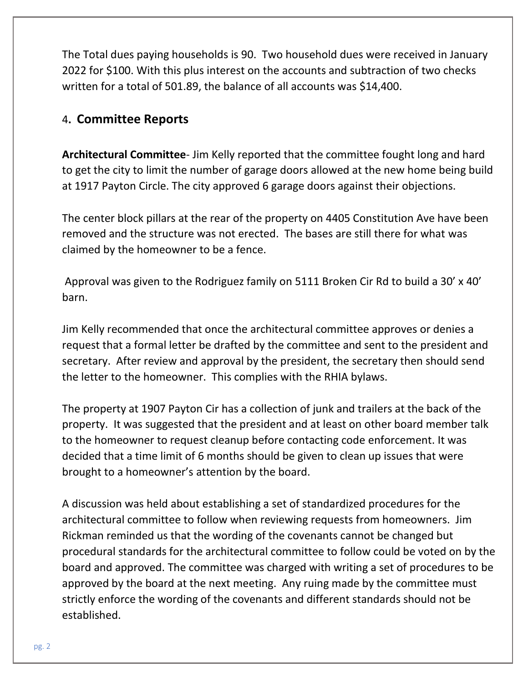The Total dues paying households is 90. Two household dues were received in January 2022 for \$100. With this plus interest on the accounts and subtraction of two checks written for a total of 501.89, the balance of all accounts was \$14,400.

### 4**. Committee Reports**

**Architectural Committee**- Jim Kelly reported that the committee fought long and hard to get the city to limit the number of garage doors allowed at the new home being build at 1917 Payton Circle. The city approved 6 garage doors against their objections.

The center block pillars at the rear of the property on 4405 Constitution Ave have been removed and the structure was not erected. The bases are still there for what was claimed by the homeowner to be a fence.

Approval was given to the Rodriguez family on 5111 Broken Cir Rd to build a 30' x 40' barn.

Jim Kelly recommended that once the architectural committee approves or denies a request that a formal letter be drafted by the committee and sent to the president and secretary. After review and approval by the president, the secretary then should send the letter to the homeowner. This complies with the RHIA bylaws.

The property at 1907 Payton Cir has a collection of junk and trailers at the back of the property. It was suggested that the president and at least on other board member talk to the homeowner to request cleanup before contacting code enforcement. It was decided that a time limit of 6 months should be given to clean up issues that were brought to a homeowner's attention by the board.

A discussion was held about establishing a set of standardized procedures for the architectural committee to follow when reviewing requests from homeowners. Jim Rickman reminded us that the wording of the covenants cannot be changed but procedural standards for the architectural committee to follow could be voted on by the board and approved. The committee was charged with writing a set of procedures to be approved by the board at the next meeting. Any ruing made by the committee must strictly enforce the wording of the covenants and different standards should not be established.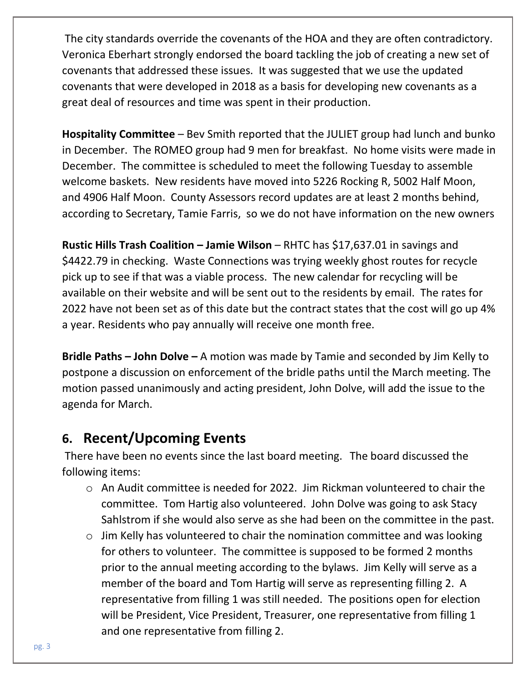The city standards override the covenants of the HOA and they are often contradictory. Veronica Eberhart strongly endorsed the board tackling the job of creating a new set of covenants that addressed these issues. It was suggested that we use the updated covenants that were developed in 2018 as a basis for developing new covenants as a great deal of resources and time was spent in their production.

**Hospitality Committee** – Bev Smith reported that the JULIET group had lunch and bunko in December. The ROMEO group had 9 men for breakfast. No home visits were made in December. The committee is scheduled to meet the following Tuesday to assemble welcome baskets. New residents have moved into 5226 Rocking R, 5002 Half Moon, and 4906 Half Moon. County Assessors record updates are at least 2 months behind, according to Secretary, Tamie Farris, so we do not have information on the new owners

**Rustic Hills Trash Coalition – Jamie Wilson – RHTC has \$17,637.01 in savings and** \$4422.79 in checking. Waste Connections was trying weekly ghost routes for recycle pick up to see if that was a viable process. The new calendar for recycling will be available on their website and will be sent out to the residents by email. The rates for 2022 have not been set as of this date but the contract states that the cost will go up 4% a year. Residents who pay annually will receive one month free.

**Bridle Paths – John Dolve –** A motion was made by Tamie and seconded by Jim Kelly to postpone a discussion on enforcement of the bridle paths until the March meeting. The motion passed unanimously and acting president, John Dolve, will add the issue to the agenda for March.

# **6. Recent/Upcoming Events**

There have been no events since the last board meeting.The board discussed the following items:

- o An Audit committee is needed for 2022. Jim Rickman volunteered to chair the committee. Tom Hartig also volunteered. John Dolve was going to ask Stacy Sahlstrom if she would also serve as she had been on the committee in the past.
- $\circ$  Jim Kelly has volunteered to chair the nomination committee and was looking for others to volunteer. The committee is supposed to be formed 2 months prior to the annual meeting according to the bylaws. Jim Kelly will serve as a member of the board and Tom Hartig will serve as representing filling 2. A representative from filling 1 was still needed. The positions open for election will be President, Vice President, Treasurer, one representative from filling 1 and one representative from filling 2.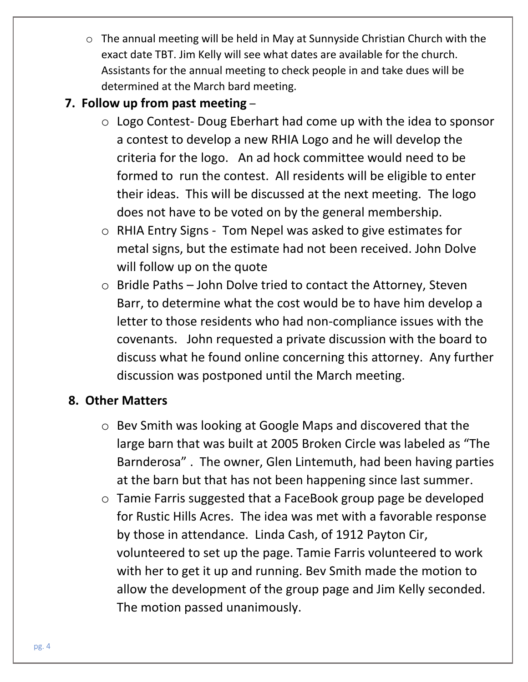o The annual meeting will be held in May at Sunnyside Christian Church with the exact date TBT. Jim Kelly will see what dates are available for the church. Assistants for the annual meeting to check people in and take dues will be determined at the March bard meeting.

## **7. Follow up from past meeting** –

- o Logo Contest- Doug Eberhart had come up with the idea to sponsor a contest to develop a new RHIA Logo and he will develop the criteria for the logo. An ad hock committee would need to be formed to run the contest. All residents will be eligible to enter their ideas. This will be discussed at the next meeting. The logo does not have to be voted on by the general membership.
- o RHIA Entry Signs Tom Nepel was asked to give estimates for metal signs, but the estimate had not been received. John Dolve will follow up on the quote
- o Bridle Paths John Dolve tried to contact the Attorney, Steven Barr, to determine what the cost would be to have him develop a letter to those residents who had non-compliance issues with the covenants. John requested a private discussion with the board to discuss what he found online concerning this attorney. Any further discussion was postponed until the March meeting.

## **8. Other Matters**

- o Bev Smith was looking at Google Maps and discovered that the large barn that was built at 2005 Broken Circle was labeled as "The Barnderosa" . The owner, Glen Lintemuth, had been having parties at the barn but that has not been happening since last summer.
- o Tamie Farris suggested that a FaceBook group page be developed for Rustic Hills Acres. The idea was met with a favorable response by those in attendance. Linda Cash, of 1912 Payton Cir, volunteered to set up the page. Tamie Farris volunteered to work with her to get it up and running. Bev Smith made the motion to allow the development of the group page and Jim Kelly seconded. The motion passed unanimously.